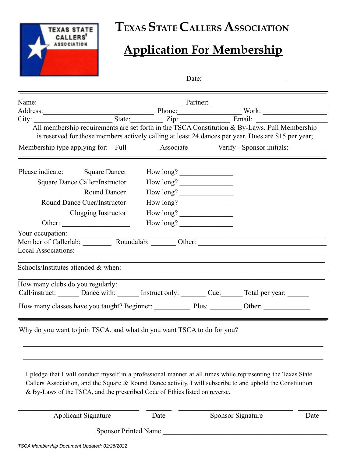

## **TEXAS STATE CALLERS ASSOCIATION**

## **Application For Membership**

| Date: $\qquad \qquad$                                                                                                                                                                                                                                                                                      |                                                                                                                                                                                                                                   |                          |      |  |  |
|------------------------------------------------------------------------------------------------------------------------------------------------------------------------------------------------------------------------------------------------------------------------------------------------------------|-----------------------------------------------------------------------------------------------------------------------------------------------------------------------------------------------------------------------------------|--------------------------|------|--|--|
|                                                                                                                                                                                                                                                                                                            | Name:<br>Address: Mork: Name: Phone: Partner: Work: Work: Name: Work: Name: Work: Name: Nork: Name: Nork: Name: Name: Name: Name: Name: Name: Name: Name: Name: Name: Name: Name: Name: Name: Name: Name: Name: Name: Name: Name: |                          |      |  |  |
|                                                                                                                                                                                                                                                                                                            |                                                                                                                                                                                                                                   |                          |      |  |  |
|                                                                                                                                                                                                                                                                                                            |                                                                                                                                                                                                                                   |                          |      |  |  |
| All membership requirements are set forth in the TSCA Constitution & By-Laws. Full Membership<br>is reserved for those members actively calling at least 24 dances per year. Dues are \$15 per year;<br>Membership type applying for: Full _________ Associate ________ Verify - Sponsor initials:         |                                                                                                                                                                                                                                   |                          |      |  |  |
| Please indicate: Square Dancer                                                                                                                                                                                                                                                                             | How long?                                                                                                                                                                                                                         |                          |      |  |  |
| <b>Square Dance Caller/Instructor</b>                                                                                                                                                                                                                                                                      | How long?                                                                                                                                                                                                                         |                          |      |  |  |
| <b>Round Dancer</b>                                                                                                                                                                                                                                                                                        | How long?                                                                                                                                                                                                                         |                          |      |  |  |
| <b>Round Dance Cuer/Instructor</b>                                                                                                                                                                                                                                                                         | How long?                                                                                                                                                                                                                         |                          |      |  |  |
| Clogging Instructor                                                                                                                                                                                                                                                                                        | How long?                                                                                                                                                                                                                         |                          |      |  |  |
| Other: $\qquad \qquad$                                                                                                                                                                                                                                                                                     | How long?                                                                                                                                                                                                                         |                          |      |  |  |
| Your occupation:                                                                                                                                                                                                                                                                                           |                                                                                                                                                                                                                                   |                          |      |  |  |
| Member of Callerlab: Roundalab: Other: Other: Callerlab and Collection and Collection and Collection and Collection and Collection and Collection and Collection and Collection and Collection and Collection and Collection a                                                                             |                                                                                                                                                                                                                                   |                          |      |  |  |
|                                                                                                                                                                                                                                                                                                            |                                                                                                                                                                                                                                   |                          |      |  |  |
| How many clubs do you regularly:                                                                                                                                                                                                                                                                           |                                                                                                                                                                                                                                   |                          |      |  |  |
|                                                                                                                                                                                                                                                                                                            |                                                                                                                                                                                                                                   |                          |      |  |  |
| Why do you want to join TSCA, and what do you want TSCA to do for you?                                                                                                                                                                                                                                     |                                                                                                                                                                                                                                   |                          |      |  |  |
| I pledge that I will conduct myself in a professional manner at all times while representing the Texas State<br>Callers Association, and the Square & Round Dance activity. I will subscribe to and uphold the Constitution<br>& By-Laws of the TSCA, and the prescribed Code of Ethics listed on reverse. |                                                                                                                                                                                                                                   |                          |      |  |  |
| <b>Applicant Signature</b>                                                                                                                                                                                                                                                                                 | Date                                                                                                                                                                                                                              | <b>Sponsor Signature</b> | Date |  |  |
| <b>Sponsor Printed Name</b>                                                                                                                                                                                                                                                                                |                                                                                                                                                                                                                                   |                          |      |  |  |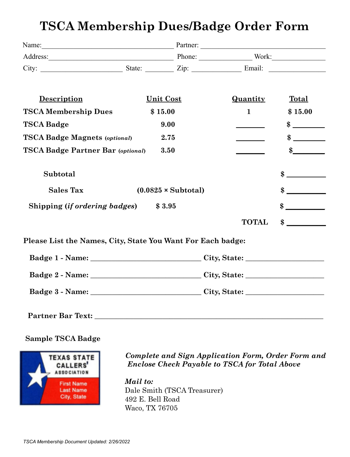## **TSCA Membership Dues/Badge Order Form**

| Name: 2008. [2016] Partner: 2016. [2016] Partner: 2016. [2016] Partner: 2016. [2016] Partner: 2016. [2016] Partner: 2016. [2016] Partner: 2016. [2016] Partner: 2016. [2016] Partner: 2016. [2016] Partner: 2016. [2016] Partn |                            |  |                             |
|--------------------------------------------------------------------------------------------------------------------------------------------------------------------------------------------------------------------------------|----------------------------|--|-----------------------------|
| Address: Work: Work: Work: Work: Work: Work: Work: Work: Work: Work: Work: Work: Work: Work: Work: Work: Work: Work: Work: Work: Work: Work: Work: Work: Work: Work: Work: Work: Work: Work: Work: Work: Work: Work: Work: Wor |                            |  |                             |
|                                                                                                                                                                                                                                |                            |  |                             |
| <b>Description</b>                                                                                                                                                                                                             | <b>Unit Cost</b>           |  | Quantity<br><b>Total</b>    |
| <b>TSCA Membership Dues</b>                                                                                                                                                                                                    | \$15.00                    |  | $\mathbf{1}$<br>\$15.00     |
| <b>TSCA Badge</b>                                                                                                                                                                                                              | 9.00                       |  | $\frac{\text{S}}{\text{S}}$ |
| <b>TSCA Badge Magnets (optional)</b>                                                                                                                                                                                           | 2.75                       |  | $\boldsymbol{\mathcal{S}}$  |
| <b>TSCA Badge Partner Bar (optional)</b>                                                                                                                                                                                       | 3.50                       |  | $\boldsymbol{\mathcal{S}}$  |
| Subtotal                                                                                                                                                                                                                       |                            |  | $\frac{\text{S}}{\text{S}}$ |
| <b>Sales Tax</b>                                                                                                                                                                                                               | $(0.0825 \times Subtotal)$ |  | $\sim$                      |
| Shipping ( <i>if ordering badges</i> ) \$3.95                                                                                                                                                                                  |                            |  | $\sim$                      |
|                                                                                                                                                                                                                                |                            |  | $\sim$<br><b>TOTAL</b>      |
| Please List the Names, City, State You Want For Each badge:                                                                                                                                                                    |                            |  |                             |
|                                                                                                                                                                                                                                |                            |  |                             |
|                                                                                                                                                                                                                                |                            |  |                             |
|                                                                                                                                                                                                                                |                            |  |                             |
| Partner Bar Text: Next Service Services and Services Services and Services Services and Services Services and Services Services and Services Services and Services and Services Services and Services Services and Services Se |                            |  |                             |

**Sample TSCA Badge**



*Complete and Sign Application Form, Order Form and Enclose Check Payable to TSCA for Total Above*

*Mail to:* Dale Smith (TSCA Treasurer) 492 E. Bell Road Waco, TX 76705